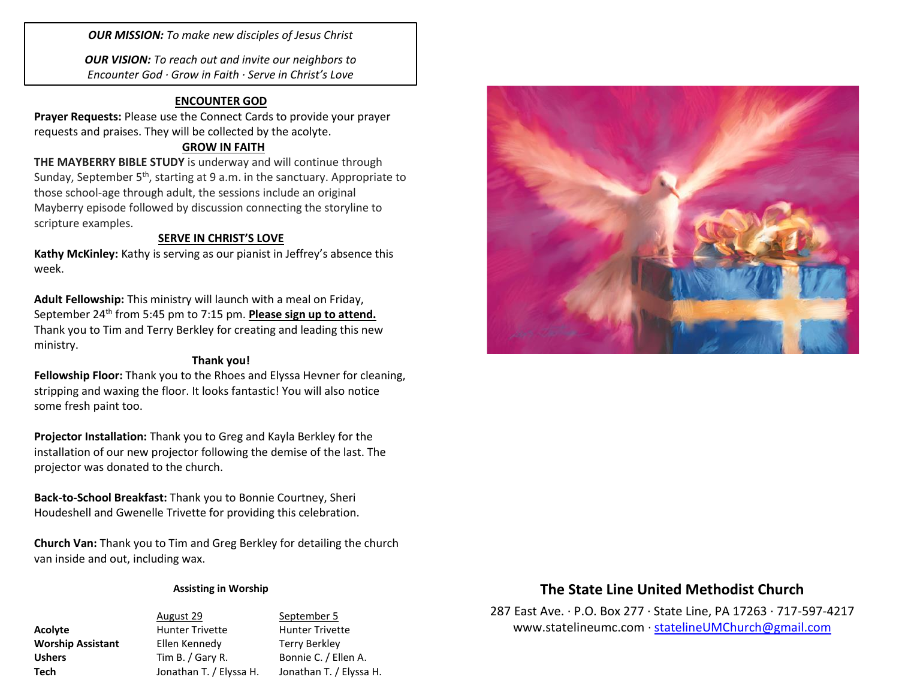*OUR MISSION: To make new disciples of Jesus Christ*

*OUR VISION: To reach out and invite our neighbors to Encounter God · Grow in Faith · Serve in Christ's Love*

#### **ENCOUNTER GOD**

**Prayer Requests:** Please use the Connect Cards to provide your prayer requests and praises. They will be collected by the acolyte.

### **GROW IN FAITH**

**THE MAYBERRY BIBLE STUDY** is underway and will continue through Sunday, September 5<sup>th</sup>, starting at 9 a.m. in the sanctuary. Appropriate to those school-age through adult, the sessions include an original Mayberry episode followed by discussion connecting the storyline to scripture examples.

### **SERVE IN CHRIST'S LOVE**

**Kathy McKinley:** Kathy is serving as our pianist in Jeffrey's absence this week.

**Adult Fellowship:** This ministry will launch with a meal on Friday, September 24<sup>th</sup> from 5:45 pm to 7:15 pm. **Please sign up to attend.** Thank you to Tim and Terry Berkley for creating and leading this new ministry.

## **Thank you!**

**Fellowship Floor:** Thank you to the Rhoes and Elyssa Hevner for cleaning, stripping and waxing the floor. It looks fantastic! You will also notice some fresh paint too.

**Projector Installation:** Thank you to Greg and Kayla Berkley for the installation of our new projector following the demise of the last. The projector was donated to the church.

**Back-to-School Breakfast:** Thank you to Bonnie Courtney, Sheri Houdeshell and Gwenelle Trivette for providing this celebration.

**Church Van:** Thank you to Tim and Greg Berkley for detailing the church van inside and out, including wax.

#### **Assisting in Worship**

August 29 September 5 **Acolyte Hunter Trivette** Hunter Trivette **Worship Assistant** Ellen Kennedy Terry Berkley Ushers Tim B. / Gary R. Bonnie C. / Ellen A. **Tech** Jonathan T. / Elyssa H. Jonathan T. / Elyssa H.



# **The State Line United Methodist Church**

287 East Ave. · P.O. Box 277 · State Line, PA 17263 · 717-597-4217 [www.statelineumc.com](http://www.statelineumc.com/) · [statelineUMChurch@gmail.com](mailto:statelineUMChurch@gmail.com)